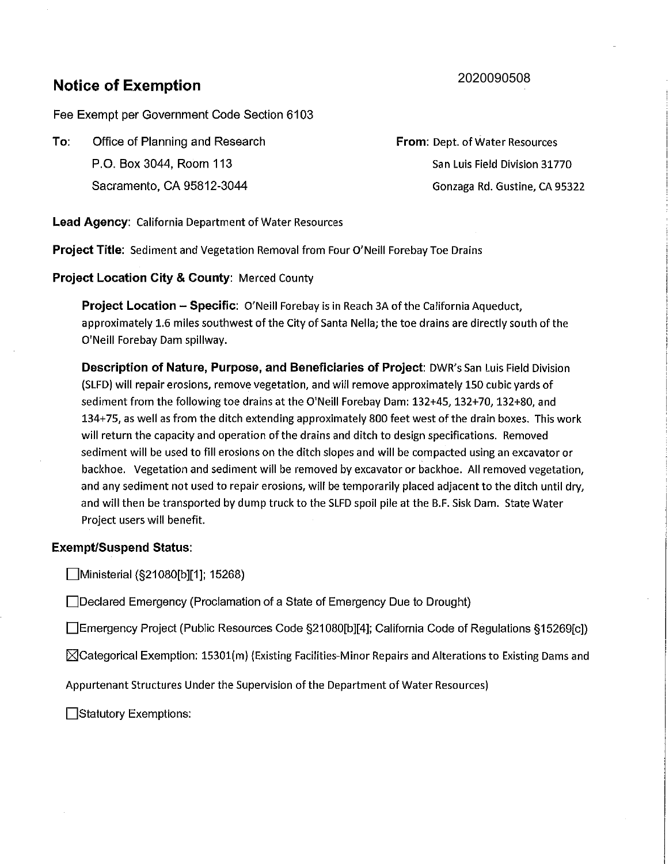# **Notice of Exemption**

## 2020090508

Fee Exempt per Government Code Section 6103

**To:** Office of Planning and Research P.O. Box 3044, Room 113 Sacramento, CA 95812-3044

**From:** Dept. of Water Resources San Luis Field Division 31770 Gonzaga Rd. Gustine, CA 95322

**Lead Agency:** California Department of Water Resources

**Project Title:** Sediment and Vegetation Removal from Four O'Neill Forebay Toe Drains

**Project Location City & County:** Merced County

**Project Location - Specific:** O'Neill Forebay is in Reach 3A of the California Aqueduct, approximately 1.6 miles southwest of the City of Santa Nella; the toe drains are directly south of the O'Neill Forebay Dam spillway.

**Description of Nature, Purpose, and Beneficiaries of Project:** DWR's San Luis Field Division (SLFD) will repair erosions, remove vegetation, and will remove approximately 150 cubic yards of sediment from the following toe drains at the O'Neill Forebay Dam: 132+45, 132+70, 132+80, and 134+75, as well as from the ditch extending approximately 800 feet west of the drain boxes. This work will return the capacity and operation of the drains and ditch to design specifications. Removed sediment will be used to fill erosions on the ditch slopes and will be compacted using an excavator or backhoe. Vegetation and sediment will be removed by excavator or backhoe. All removed vegetation, and any sediment not used to repair erosions, will be temporarily placed adjacent to the ditch until dry, and will then be transported by dump truck to the SLFD spoil pile at the B.F. Sisk Dam. State Water Project users will benefit.

#### **Exempt/Suspend Status:**

Ministerial (§21080[b][1]; 15268)

Declared Emergency (Proclamation of a State of Emergency Due to Drought)

Emergency Project (Public Resources Code §21080[b][4]; California Code of Regulations §15269[c])

 $\boxtimes$ Categorical Exemption: 15301(m) (Existing Facilities-Minor Repairs and Alterations to Existing Dams and

Appurtenant Structures Under the Supervision of the Department of Water Resources)

□Statutory Exemptions: